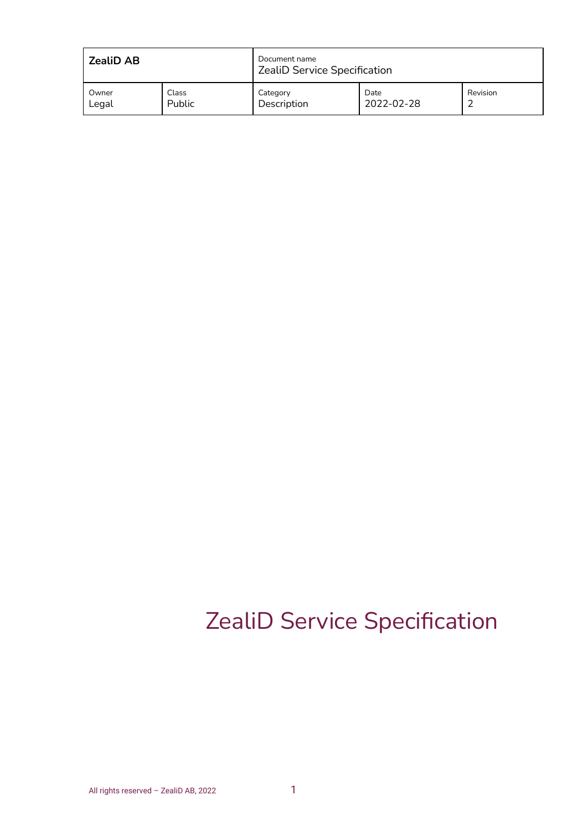| <b>ZealiD AB</b> |        | Document name<br>ZealiD Service Specification |            |          |
|------------------|--------|-----------------------------------------------|------------|----------|
| Owner            | Class  | Category                                      | Date       | Revision |
| Legal            | Public | Description                                   | 2022-02-28 |          |

# ZealiD Service Specification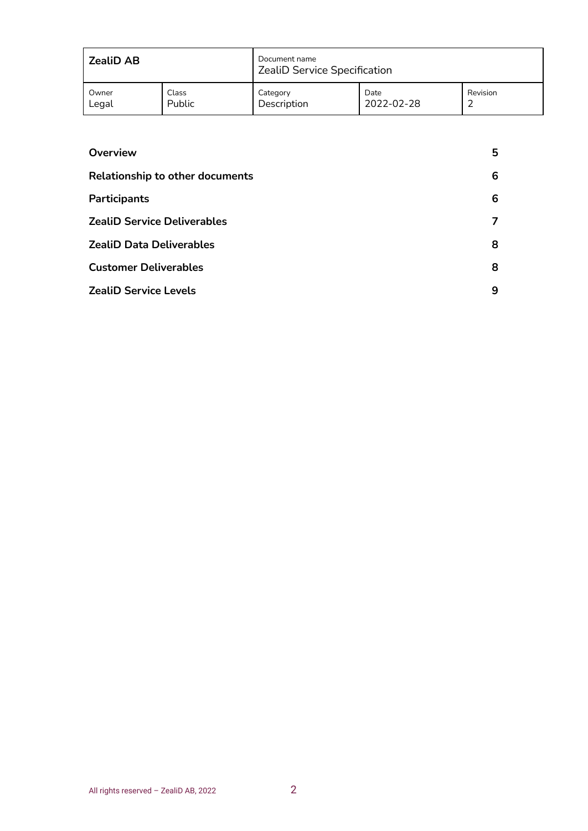| <b>ZealiD AB</b> |        | Document name<br>ZealiD Service Specification |            |          |
|------------------|--------|-----------------------------------------------|------------|----------|
| Owner            | Class  | Category                                      | Date       | Revision |
| Legal            | Public | Description                                   | 2022-02-28 |          |

| Overview                               | 5 |
|----------------------------------------|---|
| <b>Relationship to other documents</b> | 6 |
| Participants                           | 6 |
| <b>ZealiD Service Deliverables</b>     |   |
| <b>ZealiD Data Deliverables</b>        | 8 |
| <b>Customer Deliverables</b>           | 8 |
| <b>ZealiD Service Levels</b>           | 9 |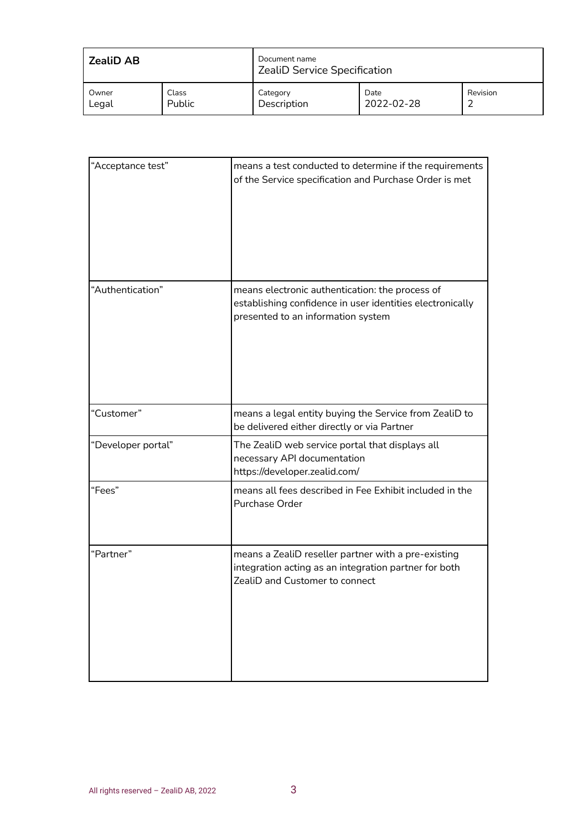| ZealiD AB |        | Document name<br><b>ZealiD Service Specification</b> |            |          |
|-----------|--------|------------------------------------------------------|------------|----------|
| Owner     | Class  | Category                                             | Date       | Revision |
| Legal     | Public | Description                                          | 2022-02-28 |          |

| "Acceptance test"  | means a test conducted to determine if the requirements<br>of the Service specification and Purchase Order is met                                  |
|--------------------|----------------------------------------------------------------------------------------------------------------------------------------------------|
|                    |                                                                                                                                                    |
| "Authentication"   | means electronic authentication: the process of<br>establishing confidence in user identities electronically<br>presented to an information system |
| "Customer"         | means a legal entity buying the Service from ZealiD to<br>be delivered either directly or via Partner                                              |
| "Developer portal" | The ZealiD web service portal that displays all<br>necessary API documentation<br>https://developer.zealid.com/                                    |
| "Fees"             | means all fees described in Fee Exhibit included in the<br>Purchase Order                                                                          |
| "Partner"          | means a ZealiD reseller partner with a pre-existing<br>integration acting as an integration partner for both<br>ZealiD and Customer to connect     |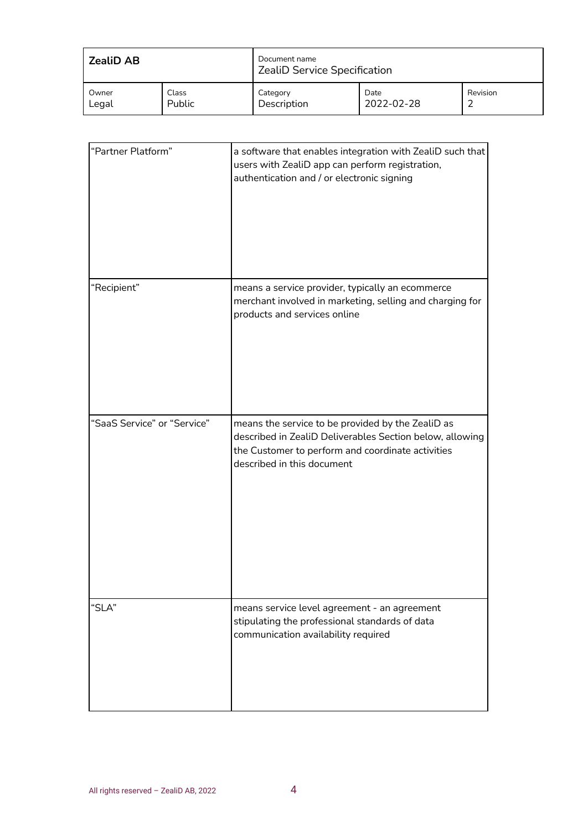| <b>ZealiD AB</b> |              | Document name<br><b>ZealiD Service Specification</b> |            |          |
|------------------|--------------|------------------------------------------------------|------------|----------|
| Owner            | <b>Class</b> | Category                                             | Date       | Revision |
| Legal            | Public       | Description                                          | 2022-02-28 |          |

| "Partner Platform"          | a software that enables integration with ZealiD such that<br>users with ZealiD app can perform registration,<br>authentication and / or electronic signing                                       |
|-----------------------------|--------------------------------------------------------------------------------------------------------------------------------------------------------------------------------------------------|
| "Recipient"                 | means a service provider, typically an ecommerce<br>merchant involved in marketing, selling and charging for<br>products and services online                                                     |
| "SaaS Service" or "Service" | means the service to be provided by the ZealiD as<br>described in ZealiD Deliverables Section below, allowing<br>the Customer to perform and coordinate activities<br>described in this document |
| "SLA"                       | means service level agreement - an agreement<br>stipulating the professional standards of data<br>communication availability required                                                            |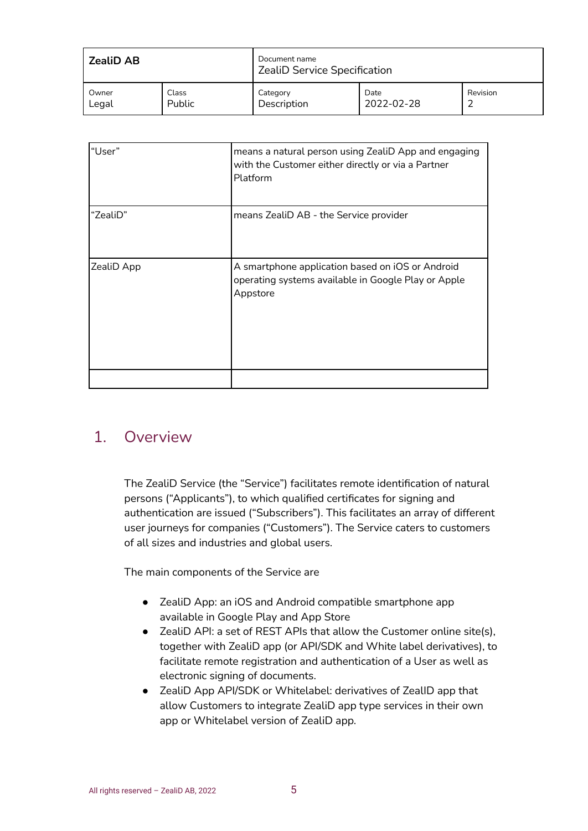| <b>ZealiD AB</b> |              | Document name<br><b>ZealiD Service Specification</b> |            |          |
|------------------|--------------|------------------------------------------------------|------------|----------|
| Owner            | <b>Class</b> | Category                                             | Date       | Revision |
| Legal            | Public       | Description                                          | 2022-02-28 |          |

| "User"     | means a natural person using ZealiD App and engaging<br>with the Customer either directly or via a Partner<br>Platform |
|------------|------------------------------------------------------------------------------------------------------------------------|
| "ZealiD"   | means ZealiD AB - the Service provider                                                                                 |
| ZealiD App | A smartphone application based on iOS or Android<br>operating systems available in Google Play or Apple<br>Appstore    |
|            |                                                                                                                        |

#### <span id="page-4-0"></span>1. Overview

The ZealiD Service (the "Service") facilitates remote identification of natural persons ("Applicants"), to which qualified certificates for signing and authentication are issued ("Subscribers"). This facilitates an array of different user journeys for companies ("Customers"). The Service caters to customers of all sizes and industries and global users.

The main components of the Service are

- ZealiD App: an iOS and Android compatible smartphone app available in Google Play and App Store
- ZealiD API: a set of REST APIs that allow the Customer online site(s), together with ZealiD app (or API/SDK and White label derivatives), to facilitate remote registration and authentication of a User as well as electronic signing of documents.
- ZealiD App API/SDK or Whitelabel: derivatives of ZealID app that allow Customers to integrate ZealiD app type services in their own app or Whitelabel version of ZealiD app.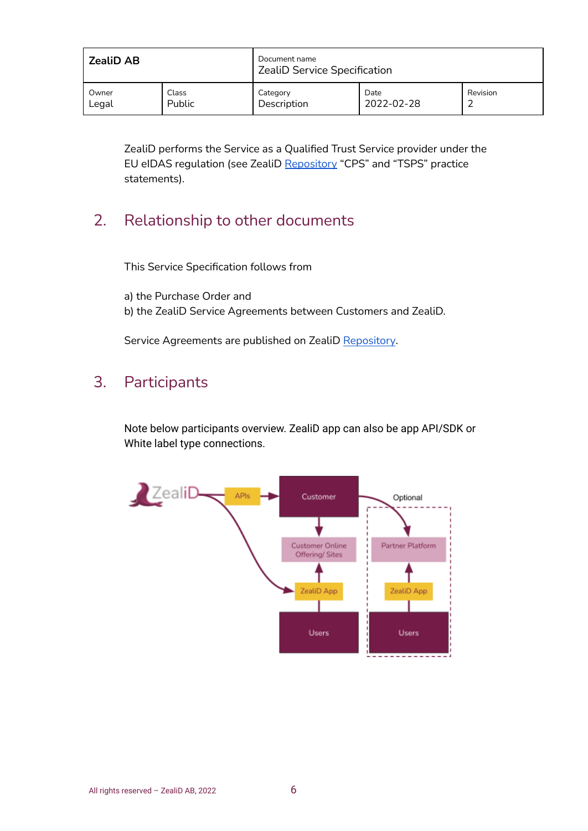| <b>ZealiD AB</b> |        | Document name<br>ZealiD Service Specification |            |          |
|------------------|--------|-----------------------------------------------|------------|----------|
| Owner            | Class  | Category                                      | Date       | Revision |
| Legal            | Public | Description                                   | 2022-02-28 |          |

ZealiD performs the Service as a Qualified Trust Service provider under the EU eIDAS regulation (see ZealiD [Repository](https://www.zealid.com/en/repository) "CPS" and "TSPS" practice statements).

#### <span id="page-5-0"></span>2. Relationship to other documents

This Service Specification follows from

a) the Purchase Order and b) the ZealiD Service Agreements between Customers and ZealiD.

Service Agreements are published on ZealiD [Repository](https://www.zealid.com/en/repository).

#### <span id="page-5-1"></span>3. Participants

Note below participants overview. ZealiD app can also be app API/SDK or White label type connections.

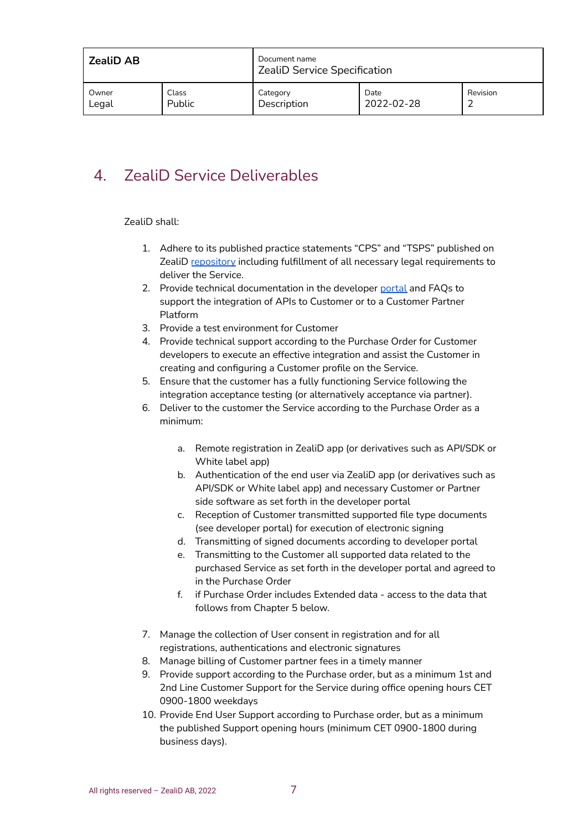| <b>ZealiD AB</b> |        | Document name<br>ZealiD Service Specification |            |          |
|------------------|--------|-----------------------------------------------|------------|----------|
| Owner            | Class  | Category                                      | Date       | Revision |
| Legal            | Public | Description                                   | 2022-02-28 |          |

## <span id="page-6-0"></span>4. ZealiD Service Deliverables

ZealiD shall:

- 1. Adhere to its published practice statements "CPS" and "TSPS" published on ZealiD [repository](https://www.zealid.com/en/repository) including fulfillment of all necessary legal requirements to deliver the Service.
- 2. Provide technical documentation in the developer [portal](https://developer.zealid.com/) and FAQs to support the integration of APIs to Customer or to a Customer Partner Platform
- 3. Provide a test environment for Customer
- 4. Provide technical support according to the Purchase Order for Customer developers to execute an effective integration and assist the Customer in creating and configuring a Customer profile on the Service.
- 5. Ensure that the customer has a fully functioning Service following the integration acceptance testing (or alternatively acceptance via partner).
- 6. Deliver to the customer the Service according to the Purchase Order as a minimum:
	- a. Remote registration in ZealiD app (or derivatives such as API/SDK or White label app)
	- b. Authentication of the end user via ZealiD app (or derivatives such as API/SDK or White label app) and necessary Customer or Partner side software as set forth in the developer portal
	- c. Reception of Customer transmitted supported file type documents (see developer portal) for execution of electronic signing
	- d. Transmitting of signed documents according to developer portal
	- e. Transmitting to the Customer all supported data related to the purchased Service as set forth in the developer portal and agreed to in the Purchase Order
	- f. if Purchase Order includes Extended data access to the data that follows from Chapter 5 below.
- 7. Manage the collection of User consent in registration and for all registrations, authentications and electronic signatures
- 8. Manage billing of Customer partner fees in a timely manner
- 9. Provide support according to the Purchase order, but as a minimum 1st and 2nd Line Customer Support for the Service during office opening hours CET 0900-1800 weekdays
- 10. Provide End User Support according to Purchase order, but as a minimum the published Support opening hours (minimum CET 0900-1800 during business days).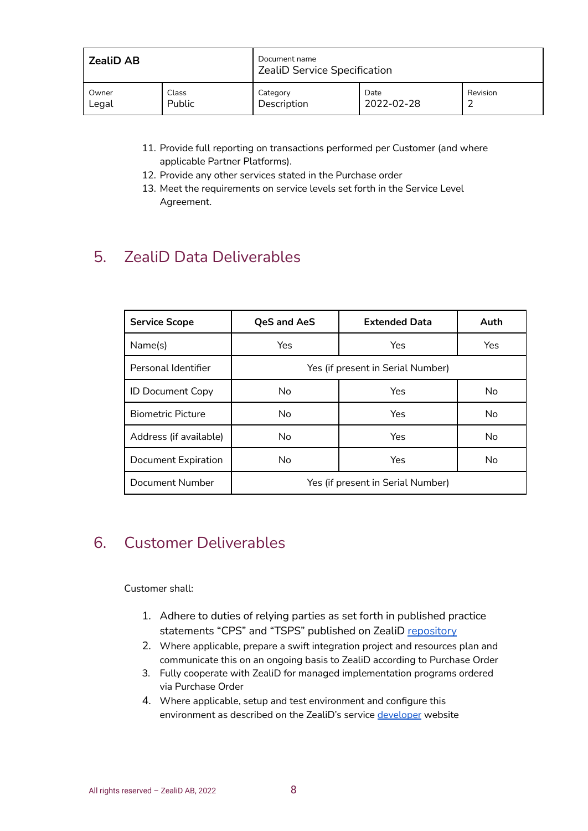| ZealiD AB |        | Document name<br>ZealiD Service Specification |            |          |
|-----------|--------|-----------------------------------------------|------------|----------|
| Owner     | Class  | Category                                      | Date       | Revision |
| Legal     | Public | Description                                   | 2022-02-28 |          |

- 11. Provide full reporting on transactions performed per Customer (and where applicable Partner Platforms).
- 12. Provide any other services stated in the Purchase order
- 13. Meet the requirements on service levels set forth in the Service Level Agreement.

## <span id="page-7-0"></span>5. ZealiD Data Deliverables

| <b>Service Scope</b>     | <b>QeS and AeS</b>                | <b>Extended Data</b> | Auth |  |
|--------------------------|-----------------------------------|----------------------|------|--|
| Name(s)                  | Yes                               | Yes                  | Yes  |  |
| Personal Identifier      | Yes (if present in Serial Number) |                      |      |  |
| <b>ID Document Copy</b>  | No.                               | Yes                  | No   |  |
| <b>Biometric Picture</b> | No.                               | Yes                  | No   |  |
| Address (if available)   | No.                               | Yes                  | No   |  |
| Document Expiration      | No.                               | Yes                  | No   |  |
| Document Number          | Yes (if present in Serial Number) |                      |      |  |

## <span id="page-7-1"></span>6. Customer Deliverables

Customer shall:

- 1. Adhere to duties of relying parties as set forth in published practice statements "CPS" and "TSPS" published on ZealiD [repository](https://www.zealid.com/en/repository)
- 2. Where applicable, prepare a swift integration project and resources plan and communicate this on an ongoing basis to ZealiD according to Purchase Order
- 3. Fully cooperate with ZealiD for managed implementation programs ordered via Purchase Order
- 4. Where applicable, setup and test environment and configure this environment as described on the ZealiD's service [developer](https://developer.zealid.com/) website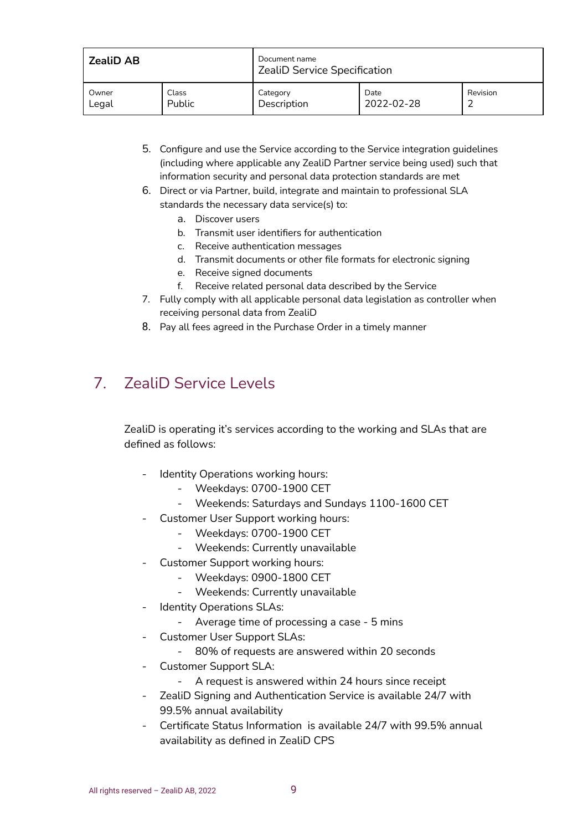| <b>ZealiD AB</b> |        | Document name<br><b>ZealiD Service Specification</b> |            |          |
|------------------|--------|------------------------------------------------------|------------|----------|
| Owner            | Class  | Category                                             | Date       | Revision |
| Legal            | Public | Description                                          | 2022-02-28 |          |

- 5. Configure and use the Service according to the Service integration guidelines (including where applicable any ZealiD Partner service being used) such that information security and personal data protection standards are met
- 6. Direct or via Partner, build, integrate and maintain to professional SLA standards the necessary data service(s) to:
	- a. Discover users
	- b. Transmit user identifiers for authentication
	- c. Receive authentication messages
	- d. Transmit documents or other file formats for electronic signing
	- e. Receive signed documents
	- f. Receive related personal data described by the Service
- 7. Fully comply with all applicable personal data legislation as controller when receiving personal data from ZealiD
- 8. Pay all fees agreed in the Purchase Order in a timely manner

#### <span id="page-8-0"></span>7. ZealiD Service Levels

ZealiD is operating it's services according to the working and SLAs that are defined as follows:

- Identity Operations working hours:
	- Weekdays: 0700-1900 CET
	- Weekends: Saturdays and Sundays 1100-1600 CET
- Customer User Support working hours:
	- Weekdays: 0700-1900 CET
	- Weekends: Currently unavailable
- Customer Support working hours:
	- Weekdays: 0900-1800 CET
	- Weekends: Currently unavailable
- Identity Operations SLAs:
	- Average time of processing a case 5 mins
- Customer User Support SLAs:
	- 80% of requests are answered within 20 seconds
- Customer Support SLA:
	- A request is answered within 24 hours since receipt
- ZealiD Signing and Authentication Service is available 24/7 with 99.5% annual availability
- Certificate Status Information is available 24/7 with 99.5% annual availability as defined in ZealiD CPS